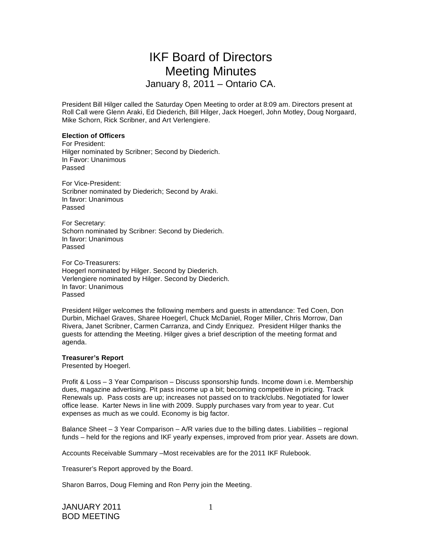# IKF Board of Directors Meeting Minutes January 8, 2011 – Ontario CA.

President Bill Hilger called the Saturday Open Meeting to order at 8:09 am. Directors present at Roll Call were Glenn Araki, Ed Diederich, Bill Hilger, Jack Hoegerl, John Motley, Doug Norgaard, Mike Schorn, Rick Scribner, and Art Verlengiere.

#### **Election of Officers**

For President: Hilger nominated by Scribner; Second by Diederich. In Favor: Unanimous Passed

For Vice-President: Scribner nominated by Diederich; Second by Araki. In favor: Unanimous Passed

For Secretary: Schorn nominated by Scribner: Second by Diederich. In favor: Unanimous Passed

For Co-Treasurers: Hoegerl nominated by Hilger. Second by Diederich. Verlengiere nominated by Hilger. Second by Diederich. In favor: Unanimous Passed

President Hilger welcomes the following members and guests in attendance: Ted Coen, Don Durbin, Michael Graves, Sharee Hoegerl, Chuck McDaniel, Roger Miller, Chris Morrow, Dan Rivera, Janet Scribner, Carmen Carranza, and Cindy Enriquez. President Hilger thanks the guests for attending the Meeting. Hilger gives a brief description of the meeting format and agenda.

## **Treasurer's Report**

Presented by Hoegerl.

Profit & Loss – 3 Year Comparison – Discuss sponsorship funds. Income down i.e. Membership dues, magazine advertising. Pit pass income up a bit; becoming competitive in pricing. Track Renewals up. Pass costs are up; increases not passed on to track/clubs. Negotiated for lower office lease. Karter News in line with 2009. Supply purchases vary from year to year. Cut expenses as much as we could. Economy is big factor.

Balance Sheet – 3 Year Comparison – A/R varies due to the billing dates. Liabilities – regional funds – held for the regions and IKF yearly expenses, improved from prior year. Assets are down.

Accounts Receivable Summary –Most receivables are for the 2011 IKF Rulebook.

Treasurer's Report approved by the Board.

Sharon Barros, Doug Fleming and Ron Perry join the Meeting.

JANUARY 2011 BOD MEETING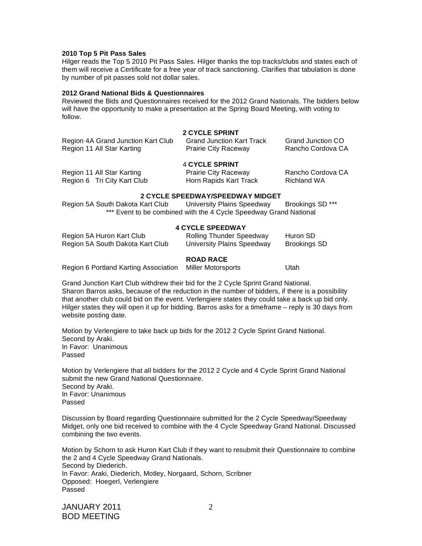#### **2010 Top 5 Pit Pass Sales**

Hilger reads the Top 5 2010 Pit Pass Sales. Hilger thanks the top tracks/clubs and states each of them will receive a Certificate for a free year of track sanctioning. Clarifies that tabulation is done by number of pit passes sold not dollar sales.

#### **2012 Grand National Bids & Questionnaires**

Reviewed the Bids and Questionnaires received for the 2012 Grand Nationals. The bidders below will have the opportunity to make a presentation at the Spring Board Meeting, with voting to follow.

# **2 CYCLE SPRINT**

| Region 4A Grand Junction Kart Club | <b>Grand Junction Kart Track</b> | <b>Grand Junction CO</b> |
|------------------------------------|----------------------------------|--------------------------|
| Region 11 All Star Karting         | <b>Prairie City Raceway</b>      | Rancho Cordova CA        |
|                                    |                                  |                          |

# 4 **CYCLE SPRINT**

Region 6 Tri City Kart Club Horn Rapids Kart Track Richland WA

Region 11 All Star Karting **Prairie City Raceway** Rancho Cordova CA

#### **2 CYCLE SPEEDWAY/SPEEDWAY MIDGET**

Region 5A South Dakota Kart Club University Plains Speedway Brookings SD<sup>\*\*\*</sup> \*\*\* Event to be combined with the 4 Cycle Speedway Grand National

# **4 CYCLE SPEEDWAY**

| Region 5A Huron Kart Club        | <b>Rolling Thunder Speedway</b> | Huron SD     |
|----------------------------------|---------------------------------|--------------|
| Region 5A South Dakota Kart Club | University Plains Speedway      | Brookings SD |

# **ROAD RACE**

Region 6 Portland Karting Association Miller Motorsports Utah

Grand Junction Kart Club withdrew their bid for the 2 Cycle Sprint Grand National. Sharon Barros asks, because of the reduction in the number of bidders, if there is a possibility that another club could bid on the event. Verlengiere states they could take a back up bid only. Hilger states they will open it up for bidding. Barros asks for a timeframe – reply is 30 days from website posting date.

Motion by Verlengiere to take back up bids for the 2012 2 Cycle Sprint Grand National. Second by Araki. In Favor: Unanimous Passed

Motion by Verlengiere that all bidders for the 2012 2 Cycle and 4 Cycle Sprint Grand National submit the new Grand National Questionnaire. Second by Araki. In Favor: Unanimous Passed

Discussion by Board regarding Questionnaire submitted for the 2 Cycle Speedway/Speedway Midget, only one bid received to combine with the 4 Cycle Speedway Grand National. Discussed combining the two events.

Motion by Schorn to ask Huron Kart Club if they want to resubmit their Questionnaire to combine the 2 and 4 Cycle Speedway Grand Nationals. Second by Diederich. In Favor: Araki, Diederich, Motley, Norgaard, Schorn, Scribner Opposed: Hoegerl, Verlengiere Passed

JANUARY 2011 BOD MEETING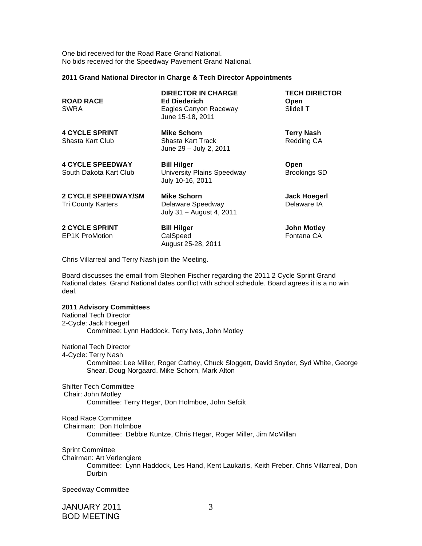One bid received for the Road Race Grand National. No bids received for the Speedway Pavement Grand National.

## **2011 Grand National Director in Charge & Tech Director Appointments**

**ROAD RACE Ed Diederich Open**  SWRA **Eagles Canyon Raceway** Slidell T

**4 CYCLE SPEEDWAY Bill Hilger Open**

 June 15-18, 2011 **4 CYCLE SPRINT Mike Schorn Terry Nash** 

Shasta Kart Club **Shasta Kart Track** Chasta Kart Track Redding CA June 29 – July 2, 2011

South Dakota Kart Club University Plains Speedway Brookings SD July 10-16, 2011

Tri County Karters Delaware Speedway Delaware IA

**2 CYCLE SPEEDWAY/SM Mike Schorn Jack Hoegerl**

July 31 – August 4, 2011

**2 CYCLE SPRINT Bill Hilger John Motley** EP1K ProMotion **CalSpeed CalSpeed** Fontana CA August 25-28, 2011

**DIRECTOR IN CHARGE TECH DIRECTOR** 

Chris Villarreal and Terry Nash join the Meeting.

Board discusses the email from Stephen Fischer regarding the 2011 2 Cycle Sprint Grand National dates. Grand National dates conflict with school schedule. Board agrees it is a no win deal.

#### **2011 Advisory Committees**

National Tech Director 2-Cycle: Jack Hoegerl Committee: Lynn Haddock, Terry Ives, John Motley

National Tech Director

4-Cycle: Terry Nash

Committee: Lee Miller, Roger Cathey, Chuck Sloggett, David Snyder, Syd White, George Shear, Doug Norgaard, Mike Schorn, Mark Alton

Shifter Tech Committee Chair: John Motley Committee: Terry Hegar, Don Holmboe, John Sefcik

Road Race Committee

Chairman: Don Holmboe

Committee: Debbie Kuntze, Chris Hegar, Roger Miller, Jim McMillan

Sprint Committee

Chairman: Art Verlengiere

 Committee: Lynn Haddock, Les Hand, Kent Laukaitis, Keith Freber, Chris Villarreal, Don Durbin

Speedway Committee

JANUARY 2011 BOD MEETING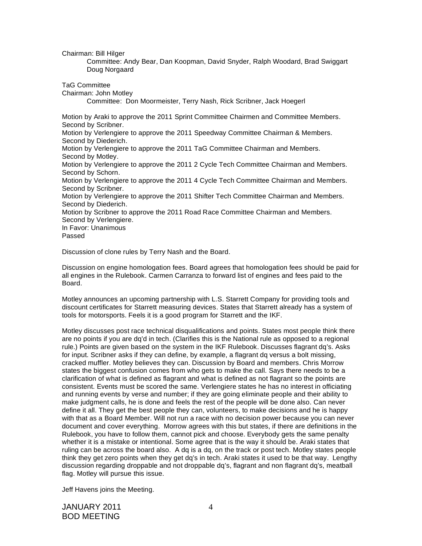Chairman: Bill Hilger

Committee: Andy Bear, Dan Koopman, David Snyder, Ralph Woodard, Brad Swiggart Doug Norgaard

TaG Committee Chairman: John Motley Committee: Don Moormeister, Terry Nash, Rick Scribner, Jack Hoegerl Motion by Araki to approve the 2011 Sprint Committee Chairmen and Committee Members. Second by Scribner. Motion by Verlengiere to approve the 2011 Speedway Committee Chairman & Members. Second by Diederich. Motion by Verlengiere to approve the 2011 TaG Committee Chairman and Members. Second by Motley. Motion by Verlengiere to approve the 2011 2 Cycle Tech Committee Chairman and Members. Second by Schorn. Motion by Verlengiere to approve the 2011 4 Cycle Tech Committee Chairman and Members. Second by Scribner. Motion by Verlengiere to approve the 2011 Shifter Tech Committee Chairman and Members. Second by Diederich. Motion by Scribner to approve the 2011 Road Race Committee Chairman and Members. Second by Verlengiere. In Favor: Unanimous Passed Discussion of clone rules by Terry Nash and the Board.

Discussion on engine homologation fees. Board agrees that homologation fees should be paid for all engines in the Rulebook. Carmen Carranza to forward list of engines and fees paid to the Board.

Motley announces an upcoming partnership with L.S. Starrett Company for providing tools and discount certificates for Starrett measuring devices. States that Starrett already has a system of tools for motorsports. Feels it is a good program for Starrett and the IKF.

Motley discusses post race technical disqualifications and points. States most people think there are no points if you are dq'd in tech. (Clarifies this is the National rule as opposed to a regional rule.) Points are given based on the system in the IKF Rulebook. Discusses flagrant dq's. Asks for input. Scribner asks if they can define, by example, a flagrant dq versus a bolt missing, cracked muffler. Motley believes they can. Discussion by Board and members. Chris Morrow states the biggest confusion comes from who gets to make the call. Says there needs to be a clarification of what is defined as flagrant and what is defined as not flagrant so the points are consistent. Events must be scored the same. Verlengiere states he has no interest in officiating and running events by verse and number; if they are going eliminate people and their ability to make judgment calls, he is done and feels the rest of the people will be done also. Can never define it all. They get the best people they can, volunteers, to make decisions and he is happy with that as a Board Member. Will not run a race with no decision power because you can never document and cover everything. Morrow agrees with this but states, if there are definitions in the Rulebook, you have to follow them, cannot pick and choose. Everybody gets the same penalty whether it is a mistake or intentional. Some agree that is the way it should be. Araki states that ruling can be across the board also. A dq is a dq, on the track or post tech. Motley states people think they get zero points when they get dq's in tech. Araki states it used to be that way. Lengthy discussion regarding droppable and not droppable dq's, flagrant and non flagrant dq's, meatball flag. Motley will pursue this issue.

Jeff Havens joins the Meeting.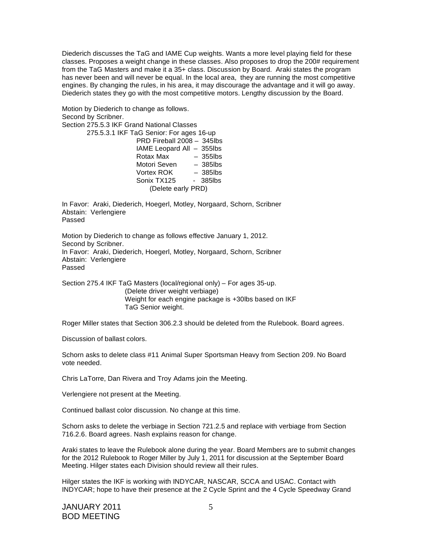Diederich discusses the TaG and IAME Cup weights. Wants a more level playing field for these classes. Proposes a weight change in these classes. Also proposes to drop the 200# requirement from the TaG Masters and make it a 35+ class. Discussion by Board. Araki states the program has never been and will never be equal. In the local area, they are running the most competitive engines. By changing the rules, in his area, it may discourage the advantage and it will go away. Diederich states they go with the most competitive motors. Lengthy discussion by the Board.

Motion by Diederich to change as follows. Second by Scribner. Section 275.5.3 IKF Grand National Classes

275.5.3.1 IKF TaG Senior: For ages 16-up PRD Fireball 2008 – 345lbs IAME Leopard All – 355lbs Rotax Max – 355lbs Motori Seven – 385lbs Vortex ROK – 385lbs Sonix TX125 - 385lbs (Delete early PRD)

In Favor: Araki, Diederich, Hoegerl, Motley, Norgaard, Schorn, Scribner Abstain: Verlengiere Passed

Motion by Diederich to change as follows effective January 1, 2012. Second by Scribner. In Favor: Araki, Diederich, Hoegerl, Motley, Norgaard, Schorn, Scribner Abstain: Verlengiere Passed

Section 275.4 IKF TaG Masters (local/regional only) – For ages 35-up. (Delete driver weight verbiage) Weight for each engine package is +30lbs based on IKF TaG Senior weight.

Roger Miller states that Section 306.2.3 should be deleted from the Rulebook. Board agrees.

Discussion of ballast colors.

Schorn asks to delete class #11 Animal Super Sportsman Heavy from Section 209. No Board vote needed.

Chris LaTorre, Dan Rivera and Troy Adams join the Meeting.

Verlengiere not present at the Meeting.

Continued ballast color discussion. No change at this time.

Schorn asks to delete the verbiage in Section 721.2.5 and replace with verbiage from Section 716.2.6. Board agrees. Nash explains reason for change.

Araki states to leave the Rulebook alone during the year. Board Members are to submit changes for the 2012 Rulebook to Roger Miller by July 1, 2011 for discussion at the September Board Meeting. Hilger states each Division should review all their rules.

Hilger states the IKF is working with INDYCAR, NASCAR, SCCA and USAC. Contact with INDYCAR; hope to have their presence at the 2 Cycle Sprint and the 4 Cycle Speedway Grand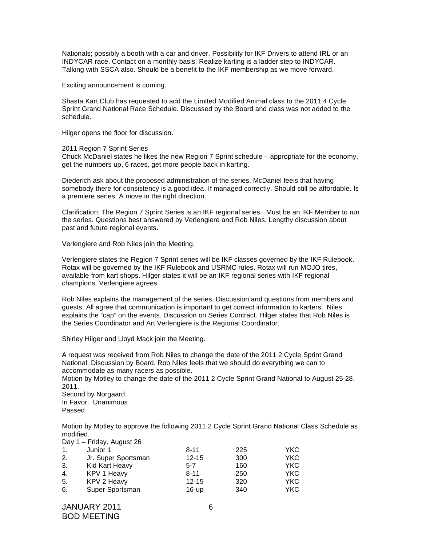Nationals; possibly a booth with a car and driver. Possibility for IKF Drivers to attend IRL or an INDYCAR race. Contact on a monthly basis. Realize karting is a ladder step to INDYCAR. Talking with SSCA also. Should be a benefit to the IKF membership as we move forward.

Exciting announcement is coming.

Shasta Kart Club has requested to add the Limited Modified Animal class to the 2011 4 Cycle Sprint Grand National Race Schedule. Discussed by the Board and class was not added to the schedule.

Hilger opens the floor for discussion.

#### 2011 Region 7 Sprint Series

Chuck McDaniel states he likes the new Region 7 Sprint schedule – appropriate for the economy, get the numbers up, 6 races, get more people back in karting.

Diederich ask about the proposed administration of the series. McDaniel feels that having somebody there for consistency is a good idea. If managed correctly. Should still be affordable. Is a premiere series. A move in the right direction.

Clarification: The Region 7 Sprint Series is an IKF regional series. Must be an IKF Member to run the series. Questions best answered by Verlengiere and Rob Niles. Lengthy discussion about past and future regional events.

Verlengiere and Rob Niles join the Meeting.

Verlengiere states the Region 7 Sprint series will be IKF classes governed by the IKF Rulebook. Rotax will be governed by the IKF Rulebook and USRMC rules. Rotax will run MOJO tires, available from kart shops. Hilger states it will be an IKF regional series with IKF regional champions. Verlengiere agrees.

Rob Niles explains the management of the series. Discussion and questions from members and guests. All agree that communication is important to get correct information to karters. Niles explains the "cap" on the events. Discussion on Series Contract. Hilger states that Rob Niles is the Series Coordinator and Art Verlengiere is the Regional Coordinator.

Shirley Hilger and Lloyd Mack join the Meeting.

A request was received from Rob Niles to change the date of the 2011 2 Cycle Sprint Grand National. Discussion by Board. Rob Niles feels that we should do everything we can to accommodate as many racers as possible.

Motion by Motley to change the date of the 2011 2 Cycle Sprint Grand National to August 25-28, 2011.

Second by Norgaard. In Favor: Unanimous Passed

Motion by Motley to approve the following 2011 2 Cycle Sprint Grand National Class Schedule as modified.

Day 1 – Friday, August 26

| $\mathbf{1}$ . | Junior 1            | $8 - 11$  | 225 | YKC |
|----------------|---------------------|-----------|-----|-----|
| 2.             | Jr. Super Sportsman | $12 - 15$ | 300 | YKC |
| 3.             | Kid Kart Heavy      | $5 - 7$   | 160 | YKC |
| 4.             | KPV 1 Heavy         | $8 - 11$  | 250 | YKC |
| 5.             | KPV 2 Heavy         | $12 - 15$ | 320 | YKC |
| 6.             | Super Sportsman     | $16 - up$ | 340 | YKC |
|                |                     |           |     |     |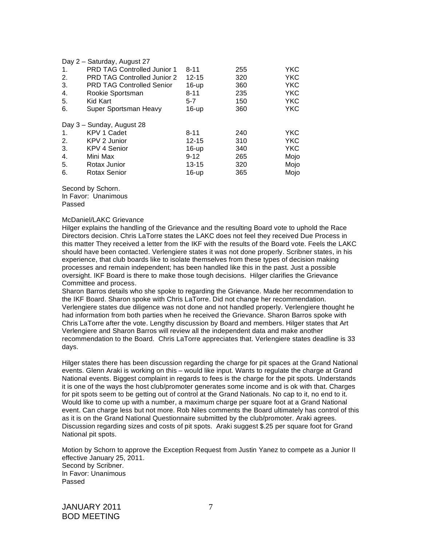| <b>PRD TAG Controlled Junior 1</b> | $8 - 11$                                                 | 255 | YKC.       |
|------------------------------------|----------------------------------------------------------|-----|------------|
| <b>PRD TAG Controlled Junior 2</b> | $12 - 15$                                                | 320 | <b>YKC</b> |
| <b>PRD TAG Controlled Senior</b>   | $16 - up$                                                | 360 | <b>YKC</b> |
| Rookie Sportsman                   | $8 - 11$                                                 | 235 | <b>YKC</b> |
| Kid Kart                           | $5 - 7$                                                  | 150 | <b>YKC</b> |
| Super Sportsman Heavy              | $16 - up$                                                | 360 | <b>YKC</b> |
|                                    |                                                          |     |            |
| KPV 1 Cadet                        | $8 - 11$                                                 | 240 | YKC        |
| KPV 2 Junior                       | $12 - 15$                                                | 310 | <b>YKC</b> |
| KPV 4 Senior                       | $16 - up$                                                | 340 | <b>YKC</b> |
| Mini Max                           | $9 - 12$                                                 | 265 | Mojo       |
| Rotax Junior                       | $13 - 15$                                                | 320 | Mojo       |
| <b>Rotax Senior</b>                | $16 - up$                                                | 365 | Mojo       |
|                                    | Day 2 - Saturday, August 27<br>Day 3 – Sunday, August 28 |     |            |

Second by Schorn. In Favor: Unanimous Passed

#### McDaniel/LAKC Grievance

Hilger explains the handling of the Grievance and the resulting Board vote to uphold the Race Directors decision. Chris LaTorre states the LAKC does not feel they received Due Process in this matter They received a letter from the IKF with the results of the Board vote. Feels the LAKC should have been contacted. Verlengiere states it was not done properly. Scribner states, in his experience, that club boards like to isolate themselves from these types of decision making processes and remain independent; has been handled like this in the past. Just a possible oversight. IKF Board is there to make those tough decisions. Hilger clarifies the Grievance Committee and process.

Sharon Barros details who she spoke to regarding the Grievance. Made her recommendation to the IKF Board. Sharon spoke with Chris LaTorre. Did not change her recommendation. Verlengiere states due diligence was not done and not handled properly. Verlengiere thought he had information from both parties when he received the Grievance. Sharon Barros spoke with Chris LaTorre after the vote. Lengthy discussion by Board and members. Hilger states that Art Verlengiere and Sharon Barros will review all the independent data and make another recommendation to the Board. Chris LaTorre appreciates that. Verlengiere states deadline is 33 days.

Hilger states there has been discussion regarding the charge for pit spaces at the Grand National events. Glenn Araki is working on this – would like input. Wants to regulate the charge at Grand National events. Biggest complaint in regards to fees is the charge for the pit spots. Understands it is one of the ways the host club/promoter generates some income and is ok with that. Charges for pit spots seem to be getting out of control at the Grand Nationals. No cap to it, no end to it. Would like to come up with a number, a maximum charge per square foot at a Grand National event. Can charge less but not more. Rob Niles comments the Board ultimately has control of this as it is on the Grand National Questionnaire submitted by the club/promoter. Araki agrees. Discussion regarding sizes and costs of pit spots. Araki suggest \$.25 per square foot for Grand National pit spots.

Motion by Schorn to approve the Exception Request from Justin Yanez to compete as a Junior II effective January 25, 2011. Second by Scribner. In Favor: Unanimous Passed